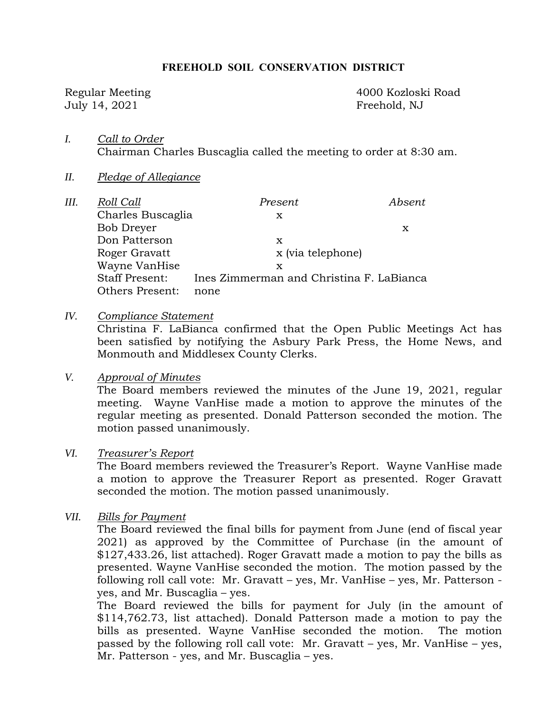#### **FREEHOLD SOIL CONSERVATION DISTRICT**

July 14, 2021 Freehold, NJ

Regular Meeting 4000 Kozloski Road

- *I. Call to Order*  Chairman Charles Buscaglia called the meeting to order at 8:30 am.
- *II. Pledge of Allegiance*

| III. | Roll Call              | Present                                  | Absent |
|------|------------------------|------------------------------------------|--------|
|      | Charles Buscaglia      | x                                        |        |
|      | Bob Dreyer             |                                          | x      |
|      | Don Patterson          | х                                        |        |
|      | Roger Gravatt          | x (via telephone)                        |        |
|      | Wayne VanHise          | х                                        |        |
|      | <b>Staff Present:</b>  | Ines Zimmerman and Christina F. LaBianca |        |
|      | <b>Others Present:</b> | none                                     |        |

*IV. Compliance Statement* 

Christina F. LaBianca confirmed that the Open Public Meetings Act has been satisfied by notifying the Asbury Park Press, the Home News, and Monmouth and Middlesex County Clerks.

#### *V. Approval of Minutes*

The Board members reviewed the minutes of the June 19, 2021, regular meeting. Wayne VanHise made a motion to approve the minutes of the regular meeting as presented. Donald Patterson seconded the motion. The motion passed unanimously.

#### *VI. Treasurer's Report*

The Board members reviewed the Treasurer's Report. Wayne VanHise made a motion to approve the Treasurer Report as presented. Roger Gravatt seconded the motion. The motion passed unanimously.

*VII. Bills for Payment* 

The Board reviewed the final bills for payment from June (end of fiscal year 2021) as approved by the Committee of Purchase (in the amount of \$127,433.26, list attached). Roger Gravatt made a motion to pay the bills as presented. Wayne VanHise seconded the motion. The motion passed by the following roll call vote: Mr. Gravatt – yes, Mr. VanHise – yes, Mr. Patterson yes, and Mr. Buscaglia – yes.

The Board reviewed the bills for payment for July (in the amount of \$114,762.73, list attached). Donald Patterson made a motion to pay the bills as presented. Wayne VanHise seconded the motion. The motion passed by the following roll call vote: Mr. Gravatt – yes, Mr. VanHise – yes, Mr. Patterson - yes, and Mr. Buscaglia – yes.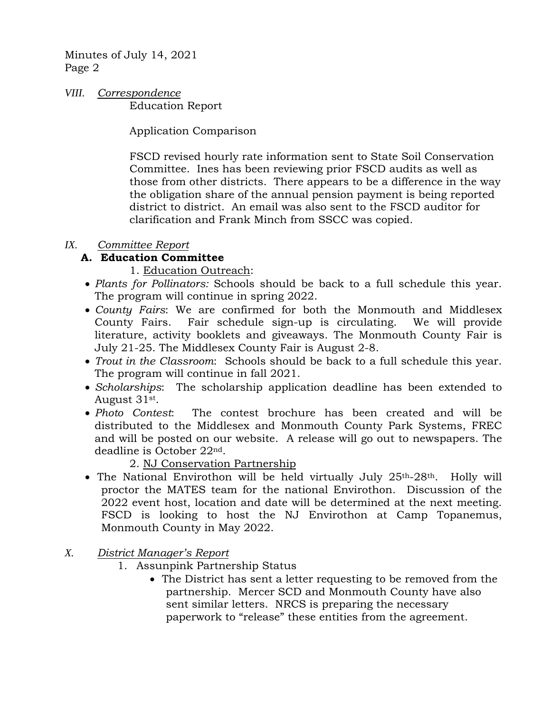*VIII. Correspondence*  Education Report

Application Comparison

FSCD revised hourly rate information sent to State Soil Conservation Committee. Ines has been reviewing prior FSCD audits as well as those from other districts. There appears to be a difference in the way the obligation share of the annual pension payment is being reported district to district. An email was also sent to the FSCD auditor for clarification and Frank Minch from SSCC was copied.

# *IX. Committee Report*

# **A. Education Committee**

- 1. Education Outreach:
- *Plants for Pollinators:* Schools should be back to a full schedule this year. The program will continue in spring 2022.
- *County Fairs*: We are confirmed for both the Monmouth and Middlesex County Fairs. Fair schedule sign-up is circulating. We will provide literature, activity booklets and giveaways. The Monmouth County Fair is July 21-25. The Middlesex County Fair is August 2-8.
- *Trout in the Classroom*: Schools should be back to a full schedule this year. The program will continue in fall 2021.
- *Scholarships*: The scholarship application deadline has been extended to August 31st.
- *Photo Contest*: The contest brochure has been created and will be distributed to the Middlesex and Monmouth County Park Systems, FREC and will be posted on our website. A release will go out to newspapers. The deadline is October 22nd.

2. NJ Conservation Partnership

- The National Envirothon will be held virtually July  $25<sup>th</sup>-28<sup>th</sup>$ . Holly will proctor the MATES team for the national Envirothon. Discussion of the 2022 event host, location and date will be determined at the next meeting. FSCD is looking to host the NJ Envirothon at Camp Topanemus, Monmouth County in May 2022.
- *X. District Manager's Report* 
	- 1. Assunpink Partnership Status
		- The District has sent a letter requesting to be removed from the partnership. Mercer SCD and Monmouth County have also sent similar letters. NRCS is preparing the necessary paperwork to "release" these entities from the agreement.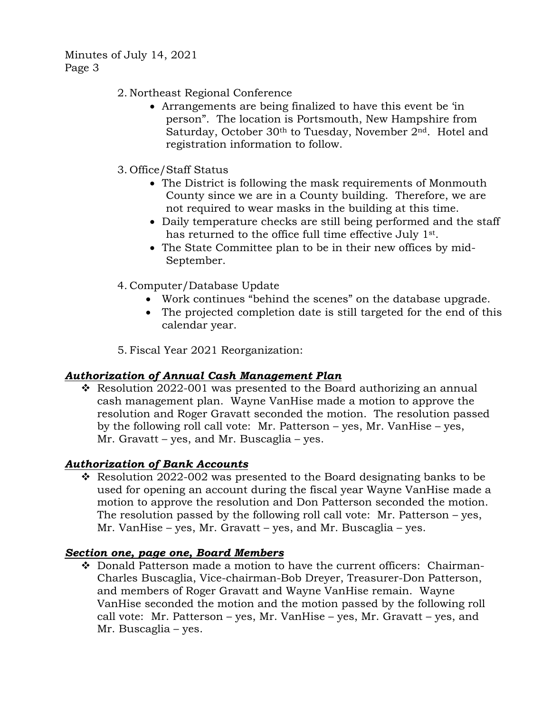- 2. Northeast Regional Conference
	- Arrangements are being finalized to have this event be 'in person". The location is Portsmouth, New Hampshire from Saturday, October 30<sup>th</sup> to Tuesday, November 2<sup>nd</sup>. Hotel and registration information to follow.
- 3. Office/Staff Status
	- The District is following the mask requirements of Monmouth County since we are in a County building. Therefore, we are not required to wear masks in the building at this time.
	- Daily temperature checks are still being performed and the staff has returned to the office full time effective July 1st.
	- The State Committee plan to be in their new offices by mid-September.
- 4. Computer/Database Update
	- Work continues "behind the scenes" on the database upgrade.
	- The projected completion date is still targeted for the end of this calendar year.

5. Fiscal Year 2021 Reorganization:

### *Authorization of Annual Cash Management Plan*

 $\cdot$  Resolution 2022-001 was presented to the Board authorizing an annual cash management plan. Wayne VanHise made a motion to approve the resolution and Roger Gravatt seconded the motion. The resolution passed by the following roll call vote: Mr. Patterson – yes, Mr. VanHise – yes, Mr. Gravatt – yes, and Mr. Buscaglia – yes.

### *Authorization of Bank Accounts*

Resolution 2022-002 was presented to the Board designating banks to be used for opening an account during the fiscal year Wayne VanHise made a motion to approve the resolution and Don Patterson seconded the motion. The resolution passed by the following roll call vote: Mr. Patterson – yes, Mr. VanHise – yes, Mr. Gravatt – yes, and Mr. Buscaglia – yes.

#### *Section one, page one, Board Members*

 $\bullet$  Donald Patterson made a motion to have the current officers: Chairman-Charles Buscaglia, Vice-chairman-Bob Dreyer, Treasurer-Don Patterson, and members of Roger Gravatt and Wayne VanHise remain. Wayne VanHise seconded the motion and the motion passed by the following roll call vote:Mr. Patterson – yes, Mr. VanHise – yes, Mr. Gravatt – yes, and Mr. Buscaglia – yes.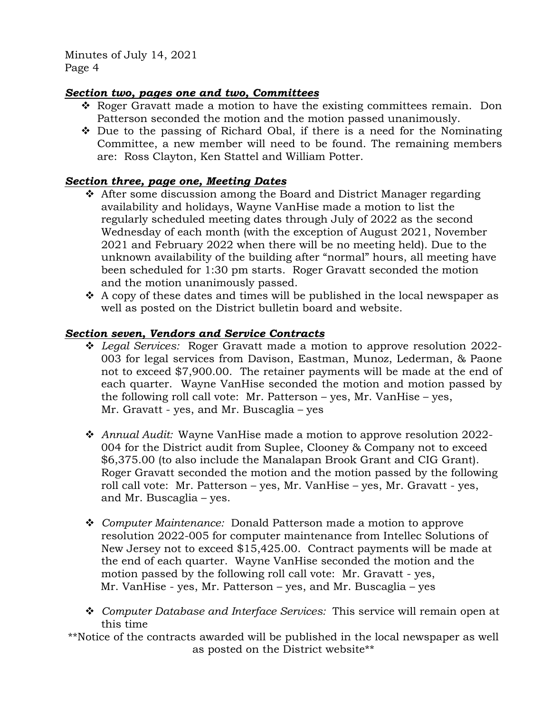## *Section two, pages one and two, Committees*

- Roger Gravatt made a motion to have the existing committees remain. Don Patterson seconded the motion and the motion passed unanimously.
- $\div$  Due to the passing of Richard Obal, if there is a need for the Nominating Committee, a new member will need to be found. The remaining members are: Ross Clayton, Ken Stattel and William Potter.

# *Section three, page one, Meeting Dates*

- After some discussion among the Board and District Manager regarding availability and holidays, Wayne VanHise made a motion to list the regularly scheduled meeting dates through July of 2022 as the second Wednesday of each month (with the exception of August 2021, November 2021 and February 2022 when there will be no meeting held). Due to the unknown availability of the building after "normal" hours, all meeting have been scheduled for 1:30 pm starts. Roger Gravatt seconded the motion and the motion unanimously passed.
- $\cdot$  A copy of these dates and times will be published in the local newspaper as well as posted on the District bulletin board and website.

# *Section seven, Vendors and Service Contracts*

- *Legal Services:* Roger Gravatt made a motion to approve resolution 2022- 003 for legal services from Davison, Eastman, Munoz, Lederman, & Paone not to exceed \$7,900.00. The retainer payments will be made at the end of each quarter. Wayne VanHise seconded the motion and motion passed by the following roll call vote: Mr. Patterson – yes, Mr. VanHise – yes, Mr. Gravatt - yes, and Mr. Buscaglia – yes
- *Annual Audit:* Wayne VanHise made a motion to approve resolution 2022- 004 for the District audit from Suplee, Clooney & Company not to exceed \$6,375.00 (to also include the Manalapan Brook Grant and CIG Grant). Roger Gravatt seconded the motion and the motion passed by the following roll call vote: Mr. Patterson – yes, Mr. VanHise – yes, Mr. Gravatt - yes, and Mr. Buscaglia – yes.
- *Computer Maintenance:* Donald Patterson made a motion to approve resolution 2022-005 for computer maintenance from Intellec Solutions of New Jersey not to exceed \$15,425.00. Contract payments will be made at the end of each quarter. Wayne VanHise seconded the motion and the motion passed by the following roll call vote: Mr. Gravatt - yes, Mr. VanHise - yes, Mr. Patterson – yes, and Mr. Buscaglia – yes
- *Computer Database and Interface Services:* This service will remain open at this time
- \*\*Notice of the contracts awarded will be published in the local newspaper as well as posted on the District website\*\*